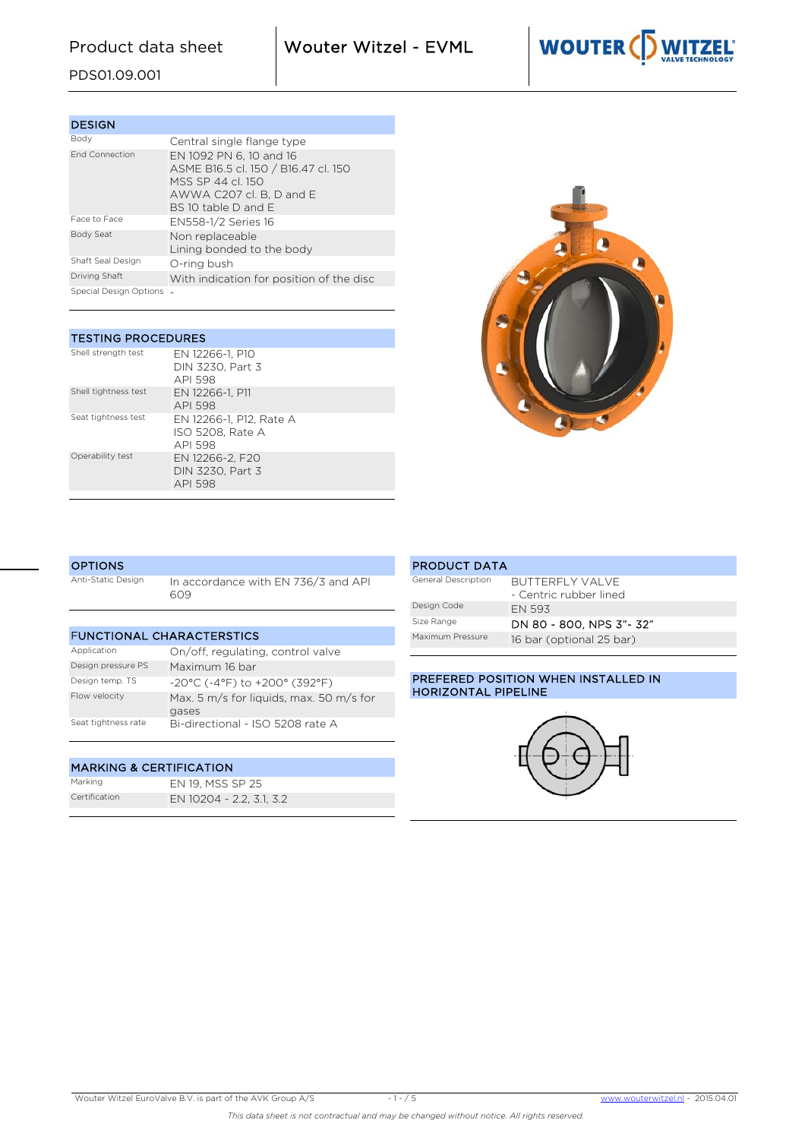Product data sheet Wouter Witzel - EVML



PDS01.09.001

| <b>DESIGN</b>            |                                                                                                                                       |
|--------------------------|---------------------------------------------------------------------------------------------------------------------------------------|
| Body                     | Central single flange type                                                                                                            |
| <b>End Connection</b>    | EN 1092 PN 6, 10 and 16<br>ASME B16.5 cl. 150 / B16.47 cl. 150<br>MSS SP 44 cl 150<br>AWWA C207 cl. B, D and E<br>BS 10 table D and E |
| Face to Face             | EN558-1/2 Series 16                                                                                                                   |
| Body Seat                | Non replaceable<br>Lining bonded to the body                                                                                          |
| Shaft Seal Design        | O-ring bush                                                                                                                           |
| Driving Shaft            | With indication for position of the disc                                                                                              |
| Special Design Options - |                                                                                                                                       |

| <b>TESTING PROCEDURES</b> |                                                        |  |  |  |  |  |  |  |  |
|---------------------------|--------------------------------------------------------|--|--|--|--|--|--|--|--|
| Shell strength test       | EN 12266-1, P10<br>DIN 3230, Part 3<br>API 598         |  |  |  |  |  |  |  |  |
| Shell tightness test      | EN 12266-1, P11<br>API 598                             |  |  |  |  |  |  |  |  |
| Seat tightness test       | EN 12266-1, P12, Rate A<br>ISO 5208. Rate A<br>API 598 |  |  |  |  |  |  |  |  |
| Operability test          | EN 12266-2, F20<br>DIN 3230. Part 3<br>API 598         |  |  |  |  |  |  |  |  |



#### **OPTIONS**

Anti-Static Design In accordance with EN 736/3 and API 609

| <b>FUNCTIONAL CHARACTERSTICS</b> |                                                  |  |  |  |  |  |  |  |
|----------------------------------|--------------------------------------------------|--|--|--|--|--|--|--|
| Application                      | On/off, regulating, control valve                |  |  |  |  |  |  |  |
| Design pressure PS               | Maximum 16 bar                                   |  |  |  |  |  |  |  |
| Design temp. TS                  | $-20^{\circ}$ C (-4°F) to $+200^{\circ}$ (392°F) |  |  |  |  |  |  |  |
| Flow velocity                    | Max. 5 m/s for liquids, max. 50 m/s for<br>gases |  |  |  |  |  |  |  |
| Seat tightness rate              | Bi-directional - ISO 5208 rate A                 |  |  |  |  |  |  |  |

## MARKING & CERTIFICATION

| Marking       | EN 19, MSS SP 25         |
|---------------|--------------------------|
| Certification | EN 10204 - 2.2, 3.1, 3.2 |

| <b>PRODUCT DATA</b> |                          |
|---------------------|--------------------------|
| General Description | BUTTERFLY VALVE          |
|                     | - Centric rubber lined   |
| Design Code         | <b>FN 593</b>            |
| Size Range          | DN 80 - 800. NPS 3"- 32" |
| Maximum Pressure    | 16 bar (optional 25 bar) |

## PREFERED POSITION WHEN INSTALLED IN HORIZONTAL PIPELINE

PRODUCT DATA

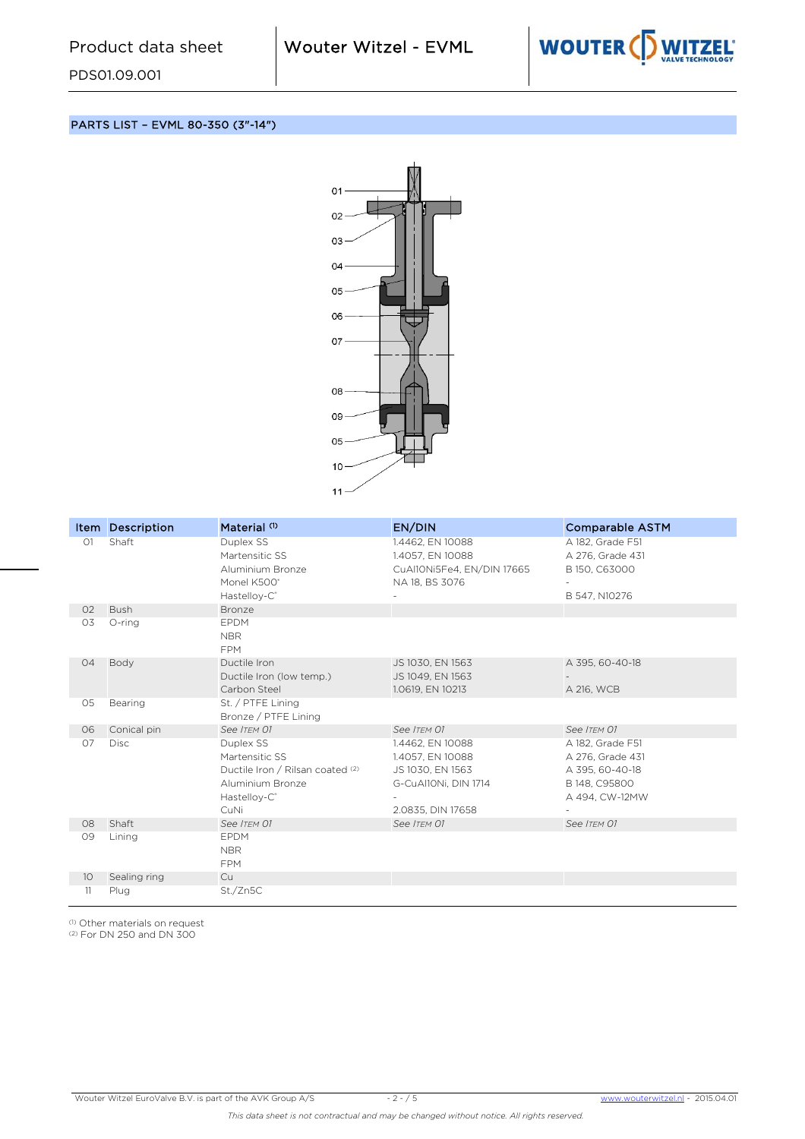

PARTS LIST – EVML 80-350 (3"-14")



|                 | Item Description | Material <sup>(1)</sup>                                                                                                        | EN/DIN                                                                                                | <b>Comparable ASTM</b>                                                                     |
|-----------------|------------------|--------------------------------------------------------------------------------------------------------------------------------|-------------------------------------------------------------------------------------------------------|--------------------------------------------------------------------------------------------|
| O1              | Shaft            | Duplex SS<br>Martensitic SS<br>Aluminium Bronze<br>Monel K500°<br>Hastelloy-C <sup>®</sup>                                     | 1.4462, EN 10088<br>1.4057, EN 10088<br>CuAl10Ni5Fe4, EN/DIN 17665<br>NA 18, BS 3076                  | A 182, Grade F51<br>A 276, Grade 431<br>B 150, C63000<br>B 547, N10276                     |
| O <sub>2</sub>  | <b>Bush</b>      | Bronze                                                                                                                         |                                                                                                       |                                                                                            |
| O3              | O-ring           | <b>EPDM</b><br><b>NBR</b><br><b>FPM</b>                                                                                        |                                                                                                       |                                                                                            |
| 04              | Body             | Ductile Iron<br>Ductile Iron (low temp.)<br>Carbon Steel                                                                       | JS 1030, EN 1563<br>JS 1049, EN 1563<br>1.0619, EN 10213                                              | A 395, 60-40-18<br>A 216, WCB                                                              |
| 05              | Bearing          | St. / PTFE Lining<br>Bronze / PTFE Lining                                                                                      |                                                                                                       |                                                                                            |
| 06              | Conical pin      | See ITEM 01                                                                                                                    | See ITEM 01                                                                                           | See ITEM 01                                                                                |
| 07              | <b>Disc</b>      | Duplex SS<br>Martensitic SS<br>Ductile Iron / Rilsan coated (2)<br>Aluminium Bronze<br>Hastelloy-C <sup>®</sup><br><b>CuNi</b> | 1.4462, EN 10088<br>1.4057, EN 10088<br>JS 1030, EN 1563<br>G-CuAl10Ni, DIN 1714<br>2.0835, DIN 17658 | A 182. Grade F51<br>A 276, Grade 431<br>A 395, 60-40-18<br>B 148, C95800<br>A 494, CW-12MW |
| 08              | Shaft            | See ITEM 01                                                                                                                    | See ITEM 01                                                                                           | See ITEM 01                                                                                |
| 09              | Lining           | <b>EPDM</b><br><b>NBR</b><br><b>FPM</b>                                                                                        |                                                                                                       |                                                                                            |
| 10 <sup>°</sup> | Sealing ring     | Cu                                                                                                                             |                                                                                                       |                                                                                            |
| 11              | Plug             | St./Zn5C                                                                                                                       |                                                                                                       |                                                                                            |

(1) Other materials on request

(2) For DN 250 and DN 300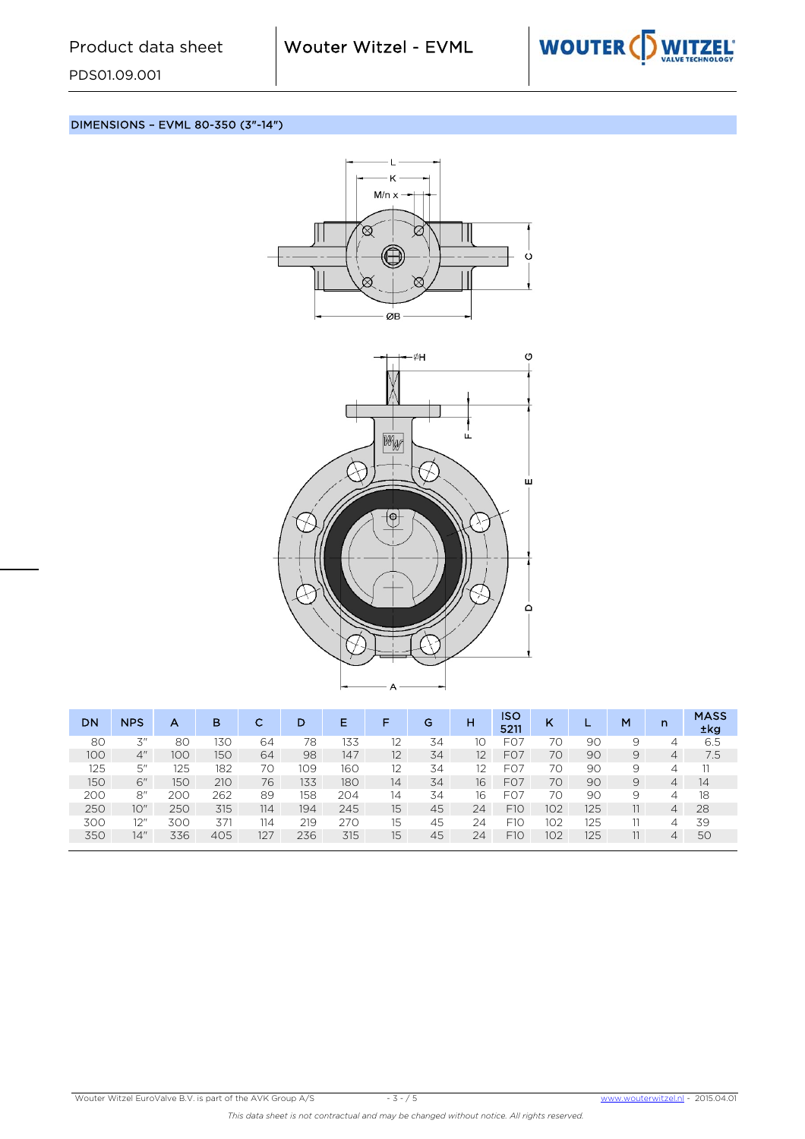

DIMENSIONS – EVML 80-350 (3"-14")





| <b>DN</b> | <b>NPS</b> | А   | в   | с   | D   | Е   | F  | G  | н  | <b>ISO</b><br>5211 | κ   |     | M | $\mathsf{n}$   | <b>MASS</b><br>±kg |
|-----------|------------|-----|-----|-----|-----|-----|----|----|----|--------------------|-----|-----|---|----------------|--------------------|
| 80        | 3"         | 80  | 130 | 64  | 78  | 133 | 12 | 34 | 10 | F <sub>O</sub>     | 70  | 9C  | 9 | 4              | 6.5                |
| 100       | 4"         | 100 | 150 | 64  | 98  | 147 | 12 | 34 | 12 | F <sub>O</sub> 7   | 70  | 90  | 9 | $\overline{4}$ | 7.5                |
| 125       | 5''        | 125 | 182 | 70  | 109 | 160 |    | 34 | 12 | F <sub>O</sub>     | 70  | 9C  | 9 | $\Delta$       |                    |
| 150       | 6"         | 150 | 210 | 76  | 133 | 180 | 14 | 34 | 16 | F <sub>O</sub> 7   | 70  | 90  | 9 | $\overline{4}$ | 14                 |
| 200       | 8''        | 200 | 262 | 89  | 158 | 204 | 14 | 34 | 16 | FO <sub>7</sub>    | 70  | 90  | 9 | 4              | 18                 |
| 250       | 10"        | 250 | 315 | 114 | 194 | 245 | 15 | 45 | 24 | F1O                | 102 | 125 |   | $\overline{4}$ | 28                 |
| 300       | 12"        | 300 | 371 | 114 | 219 | 270 | 15 | 45 | 24 | F10                | 102 | 125 |   | 4              | 39                 |
| 350       | 14"        | 336 | 405 | 127 | 236 | 315 | 15 | 45 | 24 | F1O                | 102 | 125 |   | $\overline{4}$ | 50                 |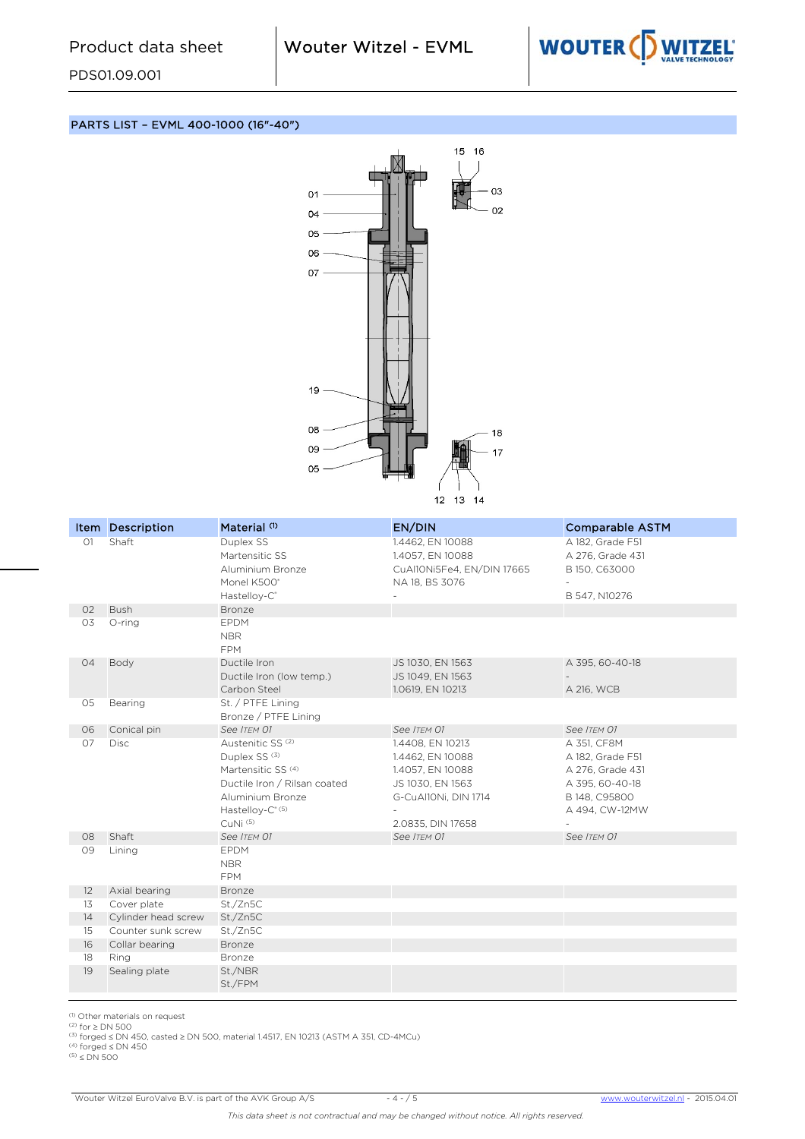

PARTS LIST – EVML 400-1000 (16"-40")



|                | Item Description             | Material <sup>(1)</sup>             | EN/DIN                                         | <b>Comparable ASTM</b>            |
|----------------|------------------------------|-------------------------------------|------------------------------------------------|-----------------------------------|
| O <sub>1</sub> | Shaft                        | Duplex SS                           | 1.4462, EN 10088                               | A 182, Grade F51                  |
|                |                              | Martensitic SS<br>Aluminium Bronze  | 1.4057, EN 10088<br>CuAl10Ni5Fe4, EN/DIN 17665 | A 276, Grade 431<br>B 150, C63000 |
|                |                              | Monel K500°                         | NA 18, BS 3076                                 |                                   |
|                |                              | Hastelloy-C <sup>®</sup>            |                                                | B 547, N10276                     |
| 02             | <b>Bush</b>                  | <b>Bronze</b>                       |                                                |                                   |
| 03             | O-ring                       | EPDM                                |                                                |                                   |
|                |                              | <b>NBR</b>                          |                                                |                                   |
|                |                              | <b>FPM</b>                          |                                                |                                   |
| 04             | Body                         | Ductile Iron                        | JS 1030, EN 1563                               | A 395, 60-40-18                   |
|                |                              | Ductile Iron (low temp.)            | JS 1049, EN 1563                               |                                   |
|                |                              | Carbon Steel                        | 1.0619, EN 10213                               | A 216, WCB                        |
| 05             | Bearing                      | St. / PTFE Lining                   |                                                |                                   |
|                |                              | Bronze / PTFE Lining<br>See ITEM 01 | See ITEM 01                                    |                                   |
| 06<br>07       | Conical pin<br><b>Disc</b>   | Austenitic SS <sup>(2)</sup>        | 1.4408, EN 10213                               | See ITEM 01<br>A 351, CF8M        |
|                |                              | Duplex SS <sup>(3)</sup>            | 1.4462, EN 10088                               | A 182, Grade F51                  |
|                |                              | Martensitic SS <sup>(4)</sup>       | 1.4057, EN 10088                               | A 276, Grade 431                  |
|                |                              | Ductile Iron / Rilsan coated        | JS 1030, EN 1563                               | A 395, 60-40-18                   |
|                |                              | Aluminium Bronze                    | G-CuAl10Ni, DIN 1714                           | B 148, C95800                     |
|                |                              | Hastelloy-C <sup>® (5)</sup>        |                                                | A 494, CW-12MW                    |
|                |                              | CuNi (5)                            | 2.0835, DIN 17658                              |                                   |
| 08             | Shaft                        | See ITEM 01                         | See ITEM 01                                    | See ITEM 01                       |
| 09             | Lining                       | <b>EPDM</b>                         |                                                |                                   |
|                |                              | <b>NBR</b>                          |                                                |                                   |
|                |                              | <b>FPM</b>                          |                                                |                                   |
| 12<br>13       | Axial bearing<br>Cover plate | Bronze<br>St./Zn5C                  |                                                |                                   |
| 14             | Cylinder head screw          | St./Zn5C                            |                                                |                                   |
| 15             | Counter sunk screw           | St./Zn5C                            |                                                |                                   |
| 16             | Collar bearing               | Bronze                              |                                                |                                   |
| 18             | Ring                         | Bronze                              |                                                |                                   |
| 19             | Sealing plate                | St./NBR                             |                                                |                                   |
|                |                              | St./FPM                             |                                                |                                   |
|                |                              |                                     |                                                |                                   |

(1) Other materials on request<br>(2) for ≥ DN 500<br>(3) forged ≤ DN 450, casted ≥ DN 500, material 1.4517, EN 10213 (ASTM A 351, CD-4MCu)<br>(4) forged ≤ DN 450<br>(5) ≤ DN 500